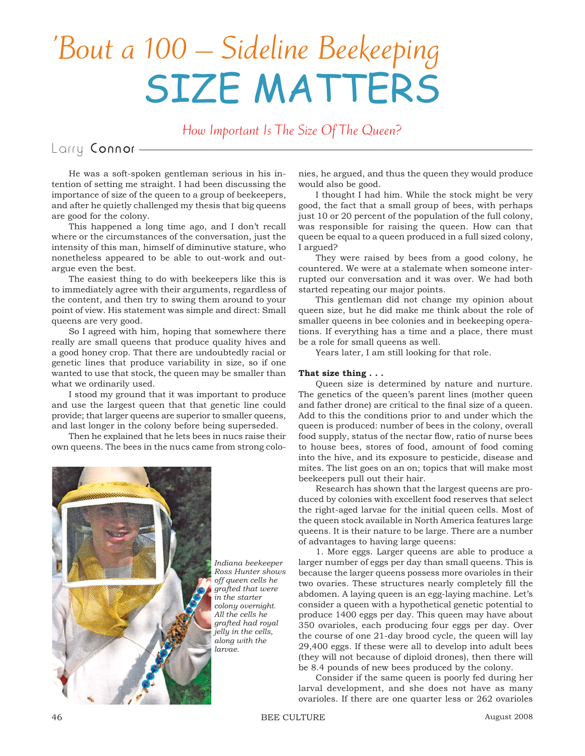# 'Bout a 100 – Sideline Beekeeping SIZE MATTERS

How Important Is The Size Of The Queen?

# Larry Connor -

He was a soft-spoken gentleman serious in his intention of setting me straight. I had been discussing the importance of size of the queen to a group of beekeepers, and after he quietly challenged my thesis that big queens are good for the colony.

This happened a long time ago, and I don't recall where or the circumstances of the conversation, just the intensity of this man, himself of diminutive stature, who nonetheless appeared to be able to out-work and outargue even the best.

The easiest thing to do with beekeepers like this is to immediately agree with their arguments, regardless of the content, and then try to swing them around to your point of view. His statement was simple and direct: Small queens are very good.

So I agreed with him, hoping that somewhere there really are small queens that produce quality hives and a good honey crop. That there are undoubtedly racial or genetic lines that produce variability in size, so if one wanted to use that stock, the queen may be smaller than what we ordinarily used.

I stood my ground that it was important to produce and use the largest queen that that genetic line could provide; that larger queens are superior to smaller queens, and last longer in the colony before being superseded.

Then he explained that he lets bees in nucs raise their own queens. The bees in the nucs came from strong colo-



*Indiana beekeeper Ross Hunter shows off queen cells he grafted that were in the starter colony overnight. All the cells he grafted had royal jelly in the cells, along with the larvae.*

nies, he argued, and thus the queen they would produce would also be good.

I thought I had him. While the stock might be very good, the fact that a small group of bees, with perhaps just 10 or 20 percent of the population of the full colony, was responsible for raising the queen. How can that queen be equal to a queen produced in a full sized colony, I argued?

They were raised by bees from a good colony, he countered. We were at a stalemate when someone interrupted our conversation and it was over. We had both started repeating our major points.

This gentleman did not change my opinion about queen size, but he did make me think about the role of smaller queens in bee colonies and in beekeeping operations. If everything has a time and a place, there must be a role for small queens as well.

Years later, I am still looking for that role.

## **That size thing . . .**

Queen size is determined by nature and nurture. The genetics of the queen's parent lines (mother queen and father drone) are critical to the final size of a queen. Add to this the conditions prior to and under which the queen is produced: number of bees in the colony, overall food supply, status of the nectar flow, ratio of nurse bees to house bees, stores of food, amount of food coming into the hive, and its exposure to pesticide, disease and mites. The list goes on an on; topics that will make most beekeepers pull out their hair.

Research has shown that the largest queens are produced by colonies with excellent food reserves that select the right-aged larvae for the initial queen cells. Most of the queen stock available in North America features large queens. It is their nature to be large. There are a number of advantages to having large queens:

1. More eggs. Larger queens are able to produce a larger number of eggs per day than small queens. This is because the larger queens possess more ovarioles in their two ovaries. These structures nearly completely fill the abdomen. A laying queen is an egg-laying machine. Let's consider a queen with a hypothetical genetic potential to produce 1400 eggs per day. This queen may have about 350 ovarioles, each producing four eggs per day. Over the course of one 21-day brood cycle, the queen will lay 29,400 eggs. If these were all to develop into adult bees (they will not because of diploid drones), then there will be 8.4 pounds of new bees produced by the colony.

Consider if the same queen is poorly fed during her larval development, and she does not have as many ovarioles. If there are one quarter less or 262 ovarioles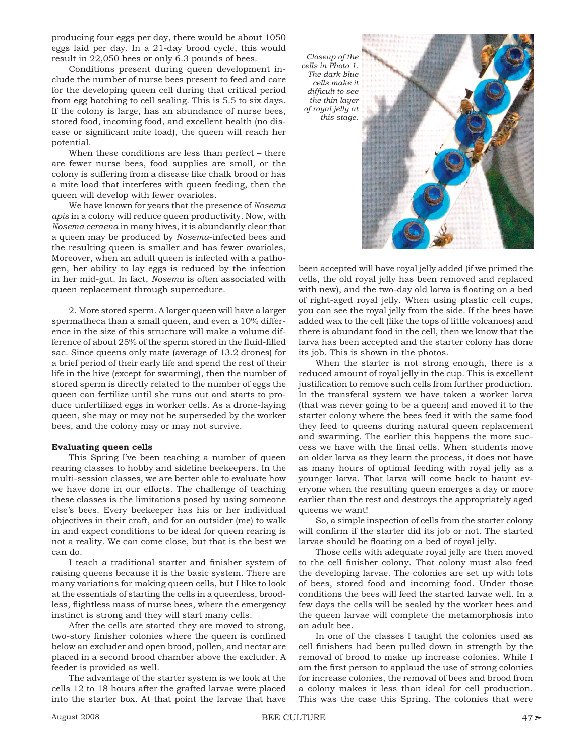producing four eggs per day, there would be about 1050 eggs laid per day. In a 21-day brood cycle, this would result in 22,050 bees or only 6.3 pounds of bees.

Conditions present during queen development include the number of nurse bees present to feed and care for the developing queen cell during that critical period from egg hatching to cell sealing. This is 5.5 to six days. If the colony is large, has an abundance of nurse bees, stored food, incoming food, and excellent health (no disease or significant mite load), the queen will reach her potential.

When these conditions are less than perfect – there are fewer nurse bees, food supplies are small, or the colony is suffering from a disease like chalk brood or has a mite load that interferes with queen feeding, then the queen will develop with fewer ovarioles.

We have known for years that the presence of *Nosema apis* in a colony will reduce queen productivity. Now, with *Nosema ceraena* in many hives, it is abundantly clear that a queen may be produced by *Nosema*-infected bees and the resulting queen is smaller and has fewer ovarioles, Moreover, when an adult queen is infected with a pathogen, her ability to lay eggs is reduced by the infection in her mid-gut. In fact, *Nosema* is often associated with queen replacement through supercedure.

2. More stored sperm. A larger queen will have a larger spermatheca than a small queen, and even a 10% difference in the size of this structure will make a volume difference of about 25% of the sperm stored in the fluid-filled sac. Since queens only mate (average of 13.2 drones) for a brief period of their early life and spend the rest of their life in the hive (except for swarming), then the number of stored sperm is directly related to the number of eggs the queen can fertilize until she runs out and starts to produce unfertilized eggs in worker cells. As a drone-laying queen, she may or may not be superseded by the worker bees, and the colony may or may not survive.

### **Evaluating queen cells**

This Spring I've been teaching a number of queen rearing classes to hobby and sideline beekeepers. In the multi-session classes, we are better able to evaluate how we have done in our efforts. The challenge of teaching these classes is the limitations posed by using someone else's bees. Every beekeeper has his or her individual objectives in their craft, and for an outsider (me) to walk in and expect conditions to be ideal for queen rearing is not a reality. We can come close, but that is the best we can do.

I teach a traditional starter and finisher system of raising queens because it is the basic system. There are many variations for making queen cells, but I like to look at the essentials of starting the cells in a queenless, broodless, flightless mass of nurse bees, where the emergency instinct is strong and they will start many cells.

After the cells are started they are moved to strong, two-story finisher colonies where the queen is confined below an excluder and open brood, pollen, and nectar are placed in a second brood chamber above the excluder. A feeder is provided as well.

The advantage of the starter system is we look at the cells 12 to 18 hours after the grafted larvae were placed into the starter box. At that point the larvae that have



been accepted will have royal jelly added (if we primed the cells, the old royal jelly has been removed and replaced with new), and the two-day old larva is floating on a bed of right-aged royal jelly. When using plastic cell cups, you can see the royal jelly from the side. If the bees have added wax to the cell (like the tops of little volcanoes) and there is abundant food in the cell, then we know that the larva has been accepted and the starter colony has done its job. This is shown in the photos.

When the starter is not strong enough, there is a reduced amount of royal jelly in the cup. This is excellent justification to remove such cells from further production. In the transferal system we have taken a worker larva (that was never going to be a queen) and moved it to the starter colony where the bees feed it with the same food they feed to queens during natural queen replacement and swarming. The earlier this happens the more success we have with the final cells. When students move an older larva as they learn the process, it does not have as many hours of optimal feeding with royal jelly as a younger larva. That larva will come back to haunt everyone when the resulting queen emerges a day or more earlier than the rest and destroys the appropriately aged queens we want!

So, a simple inspection of cells from the starter colony will confirm if the starter did its job or not. The started larvae should be floating on a bed of royal jelly.

Those cells with adequate royal jelly are then moved to the cell finisher colony. That colony must also feed the developing larvae. The colonies are set up with lots of bees, stored food and incoming food. Under those conditions the bees will feed the started larvae well. In a few days the cells will be sealed by the worker bees and the queen larvae will complete the metamorphosis into an adult bee.

In one of the classes I taught the colonies used as cell finishers had been pulled down in strength by the removal of brood to make up increase colonies. While I am the first person to applaud the use of strong colonies for increase colonies, the removal of bees and brood from a colony makes it less than ideal for cell production. This was the case this Spring. The colonies that were